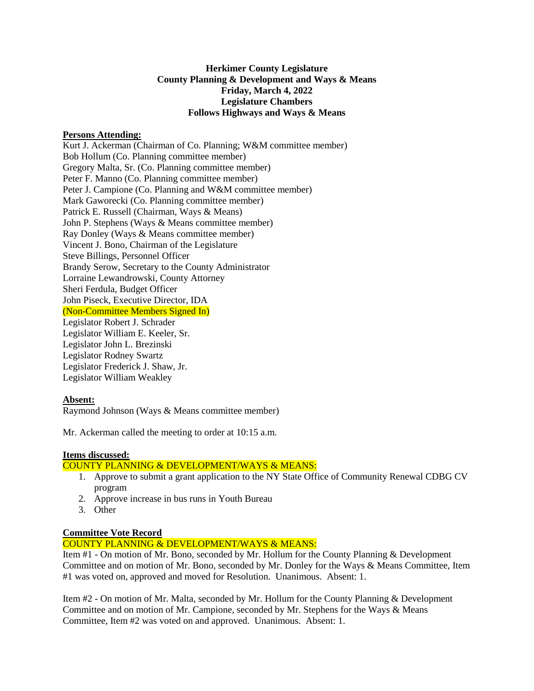### **Herkimer County Legislature County Planning & Development and Ways & Means Friday, March 4, 2022 Legislature Chambers Follows Highways and Ways & Means**

### **Persons Attending:**

Kurt J. Ackerman (Chairman of Co. Planning; W&M committee member) Bob Hollum (Co. Planning committee member) Gregory Malta, Sr. (Co. Planning committee member) Peter F. Manno (Co. Planning committee member) Peter J. Campione (Co. Planning and W&M committee member) Mark Gaworecki (Co. Planning committee member) Patrick E. Russell (Chairman, Ways & Means) John P. Stephens (Ways & Means committee member) Ray Donley (Ways & Means committee member) Vincent J. Bono, Chairman of the Legislature Steve Billings, Personnel Officer Brandy Serow, Secretary to the County Administrator Lorraine Lewandrowski, County Attorney Sheri Ferdula, Budget Officer John Piseck, Executive Director, IDA (Non-Committee Members Signed In) Legislator Robert J. Schrader Legislator William E. Keeler, Sr. Legislator John L. Brezinski Legislator Rodney Swartz Legislator Frederick J. Shaw, Jr. Legislator William Weakley

# **Absent:**

Raymond Johnson (Ways & Means committee member)

Mr. Ackerman called the meeting to order at 10:15 a.m.

#### **Items discussed:**

### COUNTY PLANNING & DEVELOPMENT/WAYS & MEANS:

- 1. Approve to submit a grant application to the NY State Office of Community Renewal CDBG CV program
- 2. Approve increase in bus runs in Youth Bureau
- 3. Other

# **Committee Vote Record**

# COUNTY PLANNING & DEVELOPMENT/WAYS & MEANS:

Item #1 - On motion of Mr. Bono, seconded by Mr. Hollum for the County Planning & Development Committee and on motion of Mr. Bono, seconded by Mr. Donley for the Ways & Means Committee, Item #1 was voted on, approved and moved for Resolution. Unanimous. Absent: 1.

Item #2 - On motion of Mr. Malta, seconded by Mr. Hollum for the County Planning & Development Committee and on motion of Mr. Campione, seconded by Mr. Stephens for the Ways & Means Committee, Item #2 was voted on and approved. Unanimous. Absent: 1.